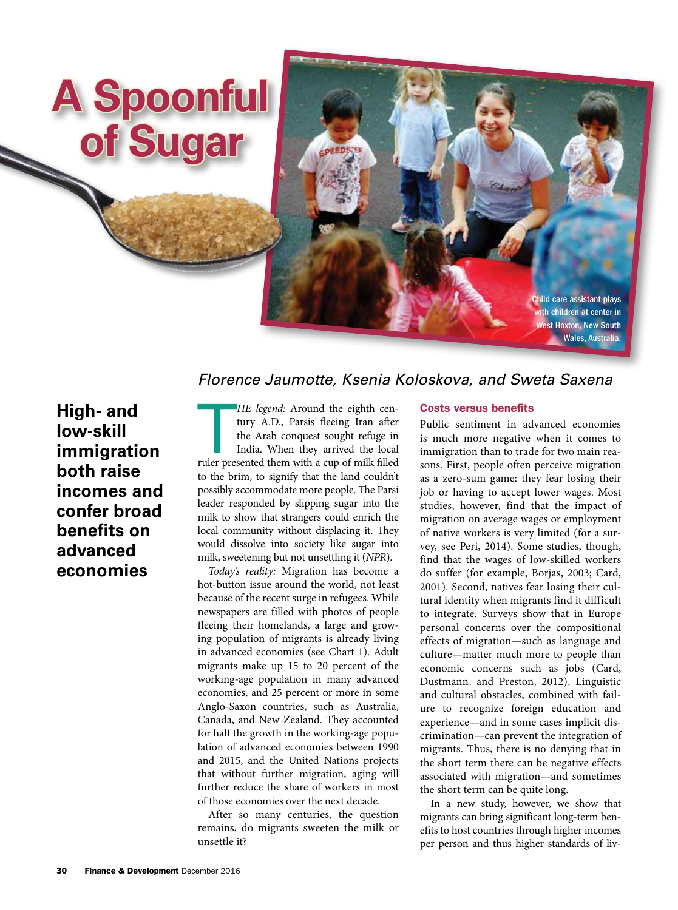

# *Florence Jaumotte, Ksenia Koloskova, and Sweta Saxena*

**High- and low-skill immigration both raise incomes and confer broad benefits on advanced economies**

HE legend: Around the eighth century A.D., Parsis fleeing Iran after the Arab conquest sought refuge in India. When they arrived the local ruler presented them with a cup of milk filled *HE legend:* Around the eighth century A.D., Parsis fleeing Iran after the Arab conquest sought refuge in India. When they arrived the local to the brim, to signify that the land couldn't possibly accommodate more people. The Parsi leader responded by slipping sugar into the milk to show that strangers could enrich the local community without displacing it. They would dissolve into society like sugar into milk, sweetening but not unsettling it (*NPR*).

*Today's reality:* Migration has become a hot-button issue around the world, not least because of the recent surge in refugees. While newspapers are filled with photos of people fleeing their homelands, a large and growing population of migrants is already living in advanced economies (see Chart 1). Adult migrants make up 15 to 20 percent of the working-age population in many advanced economies, and 25 percent or more in some Anglo-Saxon countries, such as Australia, Canada, and New Zealand. They accounted for half the growth in the working-age population of advanced economies between 1990 and 2015, and the United Nations projects that without further migration, aging will further reduce the share of workers in most of those economies over the next decade.

After so many centuries, the question remains, do migrants sweeten the milk or unsettle it?

# Costs versus benefits

Public sentiment in advanced economies is much more negative when it comes to immigration than to trade for two main reasons. First, people often perceive migration as a zero-sum game: they fear losing their job or having to accept lower wages. Most studies, however, find that the impact of migration on average wages or employment of native workers is very limited (for a survey, see Peri, 2014). Some studies, though, find that the wages of low-skilled workers do suffer (for example, Borjas, 2003; Card, 2001). Second, natives fear losing their cultural identity when migrants find it difficult to integrate. Surveys show that in Europe personal concerns over the compositional effects of migration—such as language and culture—matter much more to people than economic concerns such as jobs (Card, Dustmann, and Preston, 2012). Linguistic and cultural obstacles, combined with failure to recognize foreign education and experience—and in some cases implicit discrimination—can prevent the integration of migrants. Thus, there is no denying that in the short term there can be negative effects associated with migration—and sometimes the short term can be quite long.

In a new study, however, we show that migrants can bring significant long-term benefits to host countries through higher incomes per person and thus higher standards of liv-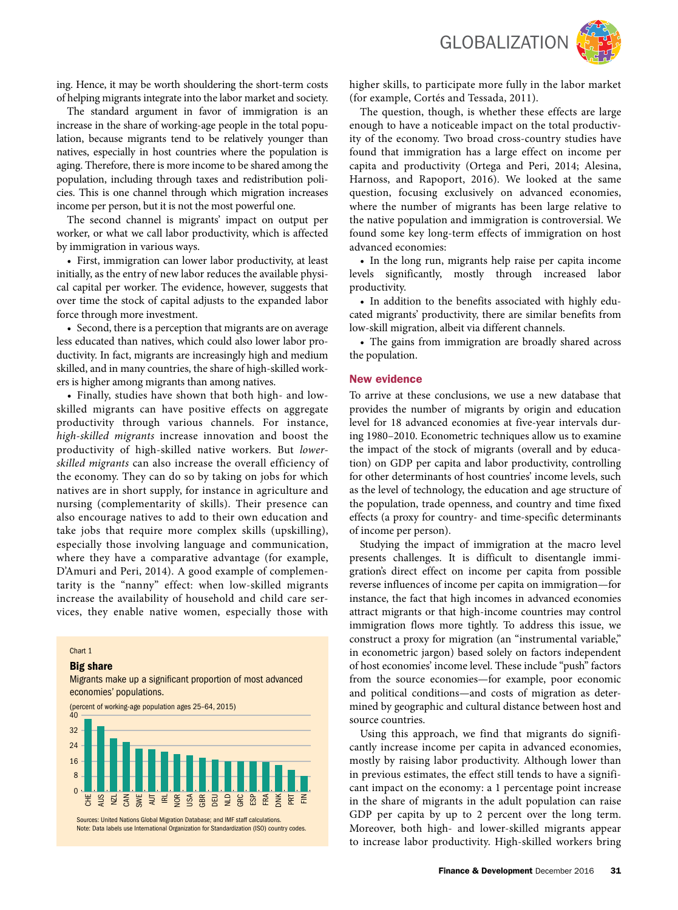

ing. Hence, it may be worth shouldering the short-term costs of helping migrants integrate into the labor market and society.

The standard argument in favor of immigration is an increase in the share of working-age people in the total population, because migrants tend to be relatively younger than natives, especially in host countries where the population is aging. Therefore, there is more income to be shared among the population, including through taxes and redistribution policies. This is one channel through which migration increases income per person, but it is not the most powerful one.

The second channel is migrants' impact on output per worker, or what we call labor productivity, which is affected by immigration in various ways.

• First, immigration can lower labor productivity, at least initially, as the entry of new labor reduces the available physical capital per worker. The evidence, however, suggests that over time the stock of capital adjusts to the expanded labor force through more investment.

• Second, there is a perception that migrants are on average less educated than natives, which could also lower labor productivity. In fact, migrants are increasingly high and medium skilled, and in many countries, the share of high-skilled workers is higher among migrants than among natives.

• Finally, studies have shown that both high- and lowskilled migrants can have positive effects on aggregate productivity through various channels. For instance, *high-skilled migrants* increase innovation and boost the productivity of high-skilled native workers. But *lowerskilled migrants* can also increase the overall efficiency of the economy. They can do so by taking on jobs for which natives are in short supply, for instance in agriculture and nursing (complementarity of skills). Their presence can also encourage natives to add to their own education and take jobs that require more complex skills (upskilling), especially those involving language and communication, where they have a comparative advantage (for example, D'Amuri and Peri, 2014). A good example of complementarity is the "nanny" effect: when low-skilled migrants increase the availability of household and child care services, they enable native women, especially those with

#### Chart 1

#### Big share

## Migrants make up a significant proportion of most advanced economies' populations.



higher skills, to participate more fully in the labor market (for example, Cortés and Tessada, 2011).

The question, though, is whether these effects are large enough to have a noticeable impact on the total productivity of the economy. Two broad cross-country studies have found that immigration has a large effect on income per capita and productivity (Ortega and Peri, 2014; Alesina, Harnoss, and Rapoport, 2016). We looked at the same question, focusing exclusively on advanced economies, where the number of migrants has been large relative to the native population and immigration is controversial. We found some key long-term effects of immigration on host advanced economies:

• In the long run, migrants help raise per capita income levels significantly, mostly through increased labor productivity.

• In addition to the benefits associated with highly educated migrants' productivity, there are similar benefits from low-skill migration, albeit via different channels.

• The gains from immigration are broadly shared across the population.

### New evidence

To arrive at these conclusions, we use a new database that provides the number of migrants by origin and education level for 18 advanced economies at five-year intervals during 1980–2010. Econometric techniques allow us to examine the impact of the stock of migrants (overall and by education) on GDP per capita and labor productivity, controlling for other determinants of host countries' income levels, such as the level of technology, the education and age structure of the population, trade openness, and country and time fixed effects (a proxy for country- and time-specific determinants of income per person).

Studying the impact of immigration at the macro level presents challenges. It is difficult to disentangle immigration's direct effect on income per capita from possible reverse influences of income per capita on immigration—for instance, the fact that high incomes in advanced economies attract migrants or that high-income countries may control immigration flows more tightly. To address this issue, we construct a proxy for migration (an "instrumental variable," in econometric jargon) based solely on factors independent of host economies' income level. These include "push" factors from the source economies—for example, poor economic and political conditions—and costs of migration as determined by geographic and cultural distance between host and source countries.

Using this approach, we find that migrants do significantly increase income per capita in advanced economies, mostly by raising labor productivity. Although lower than in previous estimates, the effect still tends to have a significant impact on the economy: a 1 percentage point increase in the share of migrants in the adult population can raise GDP per capita by up to 2 percent over the long term. Moreover, both high- and lower-skilled migrants appear to increase labor productivity. High-skilled workers bring